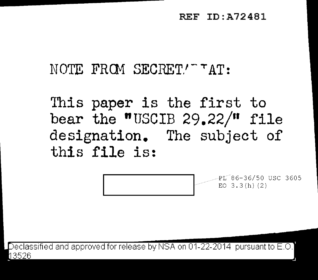## REF ID:A72481

NOTE FROM SECRET!" "AT:

This paper is the first to bear the "USCIB  $29.22/$ " file designation. The subject of this file is:

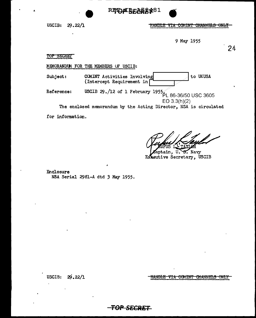



USCIB: 29.22/1

<u>HANDLE VIA COMINT CHANNELS ONLY</u>

9 May 1955

24

TOP SECRET

MEMORANDUM FOR THE MEMBERS OF USCIB:

to UKUSA COMINT Activities Involving Subject: (Intercept Requirement in

USCIB 29./12 of 1 February 1955. PL 86-36/50 USC 3605 Reference:  $EO 3.3(h)(2)$ 

The enclosed memorandum by the Acting Director, NSA is circulated

for information.

g. Navy ptain. U. Extentive Secretary, USCIB

Enclosure NSA Serial 2981-A dtd 3 May 1955.

USCIB:  $29.22/1$  HANDLE VIA COMINT CHANNELS ONLY

F<del>OP SECRET</del>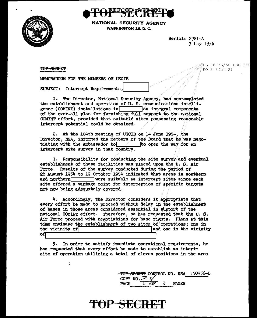



NATIONAL SECURITY AGENCY **WASHINGTON 25, D. C.** 

> Serial: 2981-A 3 May 1955

TOP SEGRET

PL 86-36/50 USC 360 EO  $3.3(h)(2)$ 

MEMORANDUM FOR THE MEMBERS OF USCIB

**SUBJECT:** Intercept Requirements,

Ĵ.

1. The Director, National Security Agency, has contemplated the establishment and operation of U.S. communications intelligence (COMINT) installations in as integral components of the over-all plan for furnishing full support to the national COMINT effort, provided that suitable sites possessing reasonable intercept potential could be obtained.

2. At the 104th meeting of USCIB on 14 June 1954, the Director, NSA, informed the members of the Board that he was negotiating with the Ambassador to  $\Box$ to open the way for an intercept site survey in that country.

3. Responsibility for conducting the site survey and eventual establishment of these facilities was placed upon the U.S. Air Force. Results of the survey conducted during the period of 26 August  $1954$  to 19 October  $1954$  indicated that areas in southern and northern **were** suitable as intercept sites since each site offered a vantage point for interception of specific targets not now being adequately covered.

4. Accordingly, the Director considers it appropriate that every effort be made to proceed without delay in the establishment of bases in those areas considered essential in support of the national COMINT effort. Therefore, he has requested that the U.S. Air Force proceed with negotiations for base rights. Plans at this time envisage the establishment of two sites of operations; one in the vicinity of and one in the vicinity оfі

5. In order to satisfy immediate operational requirements, he has requested that every effort be made to establish an interim site of operation utilizing a total of eleven positions in the area

> <del>top secret</del> control no. NSA 550958-B COPY NO.  $\mathcal{Z}$  $\mathbf{c}$ **PAGE PAGES** ⁄∩ஈ

## TOP SECRET